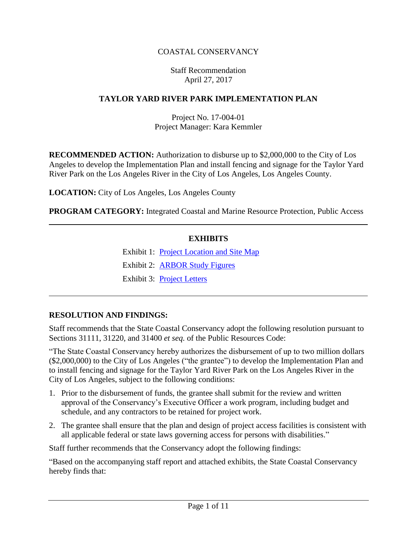# COASTAL CONSERVANCY

### Staff Recommendation April 27, 2017

### **TAYLOR YARD RIVER PARK IMPLEMENTATION PLAN**

## Project No. 17-004-01 Project Manager: Kara Kemmler

**RECOMMENDED ACTION:** Authorization to disburse up to \$2,000,000 to the City of Los Angeles to develop the Implementation Plan and install fencing and signage for the Taylor Yard River Park on the Los Angeles River in the City of Los Angeles, Los Angeles County.

**LOCATION:** City of Los Angeles, Los Angeles County

**PROGRAM CATEGORY:** Integrated Coastal and Marine Resource Protection, Public Access

#### **EXHIBITS**

Exhibit 1: [Project Location](20170427Board10_Taylor_Yard_River_Park_Ex1.pdf) and Site Map

Exhibit 2: [ARBOR](20170427Board10_Taylor_Yard_River_Park_Ex2.pdf) Study Figures

Exhibit 3: [Project Letters](20170427Board10_Taylor_Yard_River_Park_Ex3.pdf)

### **RESOLUTION AND FINDINGS:**

Staff recommends that the State Coastal Conservancy adopt the following resolution pursuant to Sections 31111, 31220, and 31400 *et seq.* of the Public Resources Code:

"The State Coastal Conservancy hereby authorizes the disbursement of up to two million dollars (\$2,000,000) to the City of Los Angeles ("the grantee") to develop the Implementation Plan and to install fencing and signage for the Taylor Yard River Park on the Los Angeles River in the City of Los Angeles, subject to the following conditions:

- 1. Prior to the disbursement of funds, the grantee shall submit for the review and written approval of the Conservancy's Executive Officer a work program, including budget and schedule, and any contractors to be retained for project work.
- 2. The grantee shall ensure that the plan and design of project access facilities is consistent with all applicable federal or state laws governing access for persons with disabilities."

Staff further recommends that the Conservancy adopt the following findings:

"Based on the accompanying staff report and attached exhibits, the State Coastal Conservancy hereby finds that: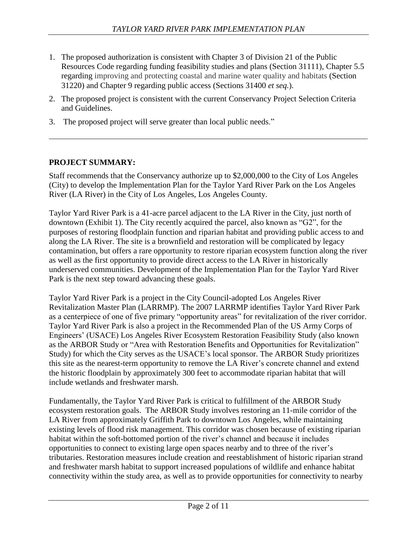- 1. The proposed authorization is consistent with Chapter 3 of Division 21 of the Public Resources Code regarding funding feasibility studies and plans (Section 31111), Chapter 5.5 regarding improving and protecting coastal and marine water quality and habitats (Section 31220) and Chapter 9 regarding public access (Sections 31400 *et seq.*).
- 2. The proposed project is consistent with the current Conservancy Project Selection Criteria and Guidelines.
- 3. The proposed project will serve greater than local public needs."

# **PROJECT SUMMARY:**

Staff recommends that the Conservancy authorize up to \$2,000,000 to the City of Los Angeles (City) to develop the Implementation Plan for the Taylor Yard River Park on the Los Angeles River (LA River) in the City of Los Angeles, Los Angeles County.

Taylor Yard River Park is a 41-acre parcel adjacent to the LA River in the City, just north of downtown (Exhibit 1). The City recently acquired the parcel, also known as "G2", for the purposes of restoring floodplain function and riparian habitat and providing public access to and along the LA River. The site is a brownfield and restoration will be complicated by legacy contamination, but offers a rare opportunity to restore riparian ecosystem function along the river as well as the first opportunity to provide direct access to the LA River in historically underserved communities. Development of the Implementation Plan for the Taylor Yard River Park is the next step toward advancing these goals.

Taylor Yard River Park is a project in the City Council-adopted Los Angeles River Revitalization Master Plan (LARRMP). The 2007 LARRMP identifies Taylor Yard River Park as a centerpiece of one of five primary "opportunity areas" for revitalization of the river corridor. Taylor Yard River Park is also a project in the Recommended Plan of the US Army Corps of Engineers' (USACE) Los Angeles River Ecosystem Restoration Feasibility Study (also known as the ARBOR Study or "Area with Restoration Benefits and Opportunities for Revitalization" Study) for which the City serves as the USACE's local sponsor. The ARBOR Study prioritizes this site as the nearest-term opportunity to remove the LA River's concrete channel and extend the historic floodplain by approximately 300 feet to accommodate riparian habitat that will include wetlands and freshwater marsh.

Fundamentally, the Taylor Yard River Park is critical to fulfillment of the ARBOR Study ecosystem restoration goals. The ARBOR Study involves restoring an 11-mile corridor of the LA River from approximately Griffith Park to downtown Los Angeles, while maintaining existing levels of flood risk management. This corridor was chosen because of existing riparian habitat within the soft-bottomed portion of the river's channel and because it includes opportunities to connect to existing large open spaces nearby and to three of the river's tributaries. Restoration measures include creation and reestablishment of historic riparian strand and freshwater marsh habitat to support increased populations of wildlife and enhance habitat connectivity within the study area, as well as to provide opportunities for connectivity to nearby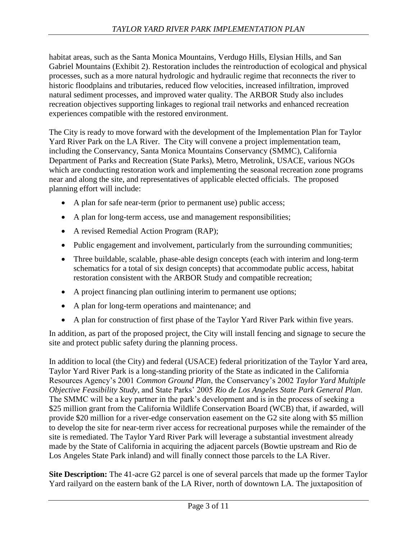habitat areas, such as the Santa Monica Mountains, Verdugo Hills, Elysian Hills, and San Gabriel Mountains (Exhibit 2). Restoration includes the reintroduction of ecological and physical processes, such as a more natural hydrologic and hydraulic regime that reconnects the river to historic floodplains and tributaries, reduced flow velocities, increased infiltration, improved natural sediment processes, and improved water quality. The ARBOR Study also includes recreation objectives supporting linkages to regional trail networks and enhanced recreation experiences compatible with the restored environment.

The City is ready to move forward with the development of the Implementation Plan for Taylor Yard River Park on the LA River. The City will convene a project implementation team, including the Conservancy, Santa Monica Mountains Conservancy (SMMC), California Department of Parks and Recreation (State Parks), Metro, Metrolink, USACE, various NGOs which are conducting restoration work and implementing the seasonal recreation zone programs near and along the site, and representatives of applicable elected officials. The proposed planning effort will include:

- A plan for safe near-term (prior to permanent use) public access;
- A plan for long-term access, use and management responsibilities;
- A revised Remedial Action Program (RAP);
- Public engagement and involvement, particularly from the surrounding communities;
- Three buildable, scalable, phase-able design concepts (each with interim and long-term schematics for a total of six design concepts) that accommodate public access, habitat restoration consistent with the ARBOR Study and compatible recreation;
- A project financing plan outlining interim to permanent use options;
- A plan for long-term operations and maintenance; and
- A plan for construction of first phase of the Taylor Yard River Park within five years.

In addition, as part of the proposed project, the City will install fencing and signage to secure the site and protect public safety during the planning process.

In addition to local (the City) and federal (USACE) federal prioritization of the Taylor Yard area, Taylor Yard River Park is a long-standing priority of the State as indicated in the California Resources Agency's 2001 *Common Ground Plan*, the Conservancy's 2002 *Taylor Yard Multiple Objective Feasibility Study*, and State Parks' 2005 *Rio de Los Angeles State Park General Plan*. The SMMC will be a key partner in the park's development and is in the process of seeking a \$25 million grant from the California Wildlife Conservation Board (WCB) that, if awarded, will provide \$20 million for a river-edge conservation easement on the G2 site along with \$5 million to develop the site for near-term river access for recreational purposes while the remainder of the site is remediated. The Taylor Yard River Park will leverage a substantial investment already made by the State of California in acquiring the adjacent parcels (Bowtie upstream and Rio de Los Angeles State Park inland) and will finally connect those parcels to the LA River.

**Site Description:** The 41-acre G2 parcel is one of several parcels that made up the former Taylor Yard railyard on the eastern bank of the LA River, north of downtown LA. The juxtaposition of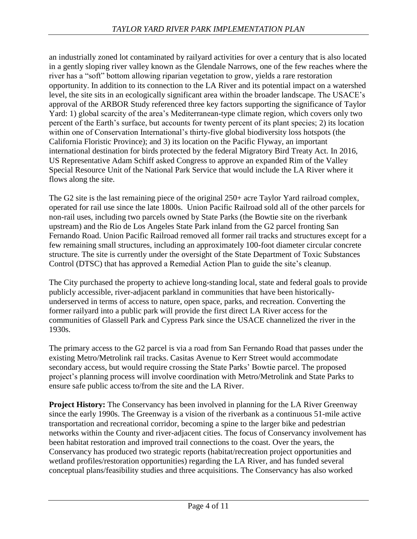an industrially zoned lot contaminated by railyard activities for over a century that is also located in a gently sloping river valley known as the Glendale Narrows, one of the few reaches where the river has a "soft" bottom allowing riparian vegetation to grow, yields a rare restoration opportunity. In addition to its connection to the LA River and its potential impact on a watershed level, the site sits in an ecologically significant area within the broader landscape. The USACE's approval of the ARBOR Study referenced three key factors supporting the significance of Taylor Yard: 1) global scarcity of the area's Mediterranean-type climate region, which covers only two percent of the Earth's surface, but accounts for twenty percent of its plant species; 2) its location within one of Conservation International's thirty-five global biodiversity loss hotspots (the California Floristic Province); and 3) its location on the Pacific Flyway, an important international destination for birds protected by the federal Migratory Bird Treaty Act. In 2016, US Representative Adam Schiff asked Congress to approve an expanded Rim of the Valley Special Resource Unit of the National Park Service that would include the LA River where it flows along the site.

The G2 site is the last remaining piece of the original 250+ acre Taylor Yard railroad complex, operated for rail use since the late 1800s. Union Pacific Railroad sold all of the other parcels for non-rail uses, including two parcels owned by State Parks (the Bowtie site on the riverbank upstream) and the Rio de Los Angeles State Park inland from the G2 parcel fronting San Fernando Road. Union Pacific Railroad removed all former rail tracks and structures except for a few remaining small structures, including an approximately 100-foot diameter circular concrete structure. The site is currently under the oversight of the State Department of Toxic Substances Control (DTSC) that has approved a Remedial Action Plan to guide the site's cleanup.

The City purchased the property to achieve long-standing local, state and federal goals to provide publicly accessible, river-adjacent parkland in communities that have been historicallyunderserved in terms of access to nature, open space, parks, and recreation. Converting the former railyard into a public park will provide the first direct LA River access for the communities of Glassell Park and Cypress Park since the USACE channelized the river in the 1930s.

The primary access to the G2 parcel is via a road from San Fernando Road that passes under the existing Metro/Metrolink rail tracks. Casitas Avenue to Kerr Street would accommodate secondary access, but would require crossing the State Parks' Bowtie parcel. The proposed project's planning process will involve coordination with Metro/Metrolink and State Parks to ensure safe public access to/from the site and the LA River.

**Project History:** The Conservancy has been involved in planning for the LA River Greenway since the early 1990s. The Greenway is a vision of the riverbank as a continuous 51-mile active transportation and recreational corridor, becoming a spine to the larger bike and pedestrian networks within the County and river-adjacent cities. The focus of Conservancy involvement has been habitat restoration and improved trail connections to the coast. Over the years, the Conservancy has produced two strategic reports (habitat/recreation project opportunities and wetland profiles/restoration opportunities) regarding the LA River, and has funded several conceptual plans/feasibility studies and three acquisitions. The Conservancy has also worked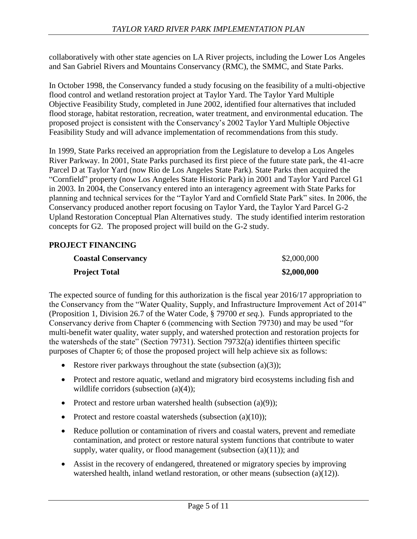collaboratively with other state agencies on LA River projects, including the Lower Los Angeles and San Gabriel Rivers and Mountains Conservancy (RMC), the SMMC, and State Parks.

In October 1998, the Conservancy funded a study focusing on the feasibility of a multi-objective flood control and wetland restoration project at Taylor Yard. The Taylor Yard Multiple Objective Feasibility Study, completed in June 2002, identified four alternatives that included flood storage, habitat restoration, recreation, water treatment, and environmental education. The proposed project is consistent with the Conservancy's 2002 Taylor Yard Multiple Objective Feasibility Study and will advance implementation of recommendations from this study.

In 1999, State Parks received an appropriation from the Legislature to develop a Los Angeles River Parkway. In 2001, State Parks purchased its first piece of the future state park, the 41-acre Parcel D at Taylor Yard (now Rio de Los Angeles State Park). State Parks then acquired the "Cornfield" property (now Los Angeles State Historic Park) in 2001 and Taylor Yard Parcel G1 in 2003. In 2004, the Conservancy entered into an interagency agreement with State Parks for planning and technical services for the "Taylor Yard and Cornfield State Park" sites. In 2006, the Conservancy produced another report focusing on Taylor Yard, the Taylor Yard Parcel G-2 Upland Restoration Conceptual Plan Alternatives study. The study identified interim restoration concepts for G2. The proposed project will build on the G-2 study.

## **PROJECT FINANCING**

| <b>Coastal Conservancy</b> | \$2,000,000 |
|----------------------------|-------------|
| <b>Project Total</b>       | \$2,000,000 |

The expected source of funding for this authorization is the fiscal year 2016/17 appropriation to the Conservancy from the "Water Quality, Supply, and Infrastructure Improvement Act of 2014" (Proposition 1, Division 26.7 of the Water Code, § 79700 *et seq.*). Funds appropriated to the Conservancy derive from Chapter 6 (commencing with Section 79730) and may be used "for multi-benefit water quality, water supply, and watershed protection and restoration projects for the watersheds of the state" (Section 79731). Section 79732(a) identifies thirteen specific purposes of Chapter 6; of those the proposed project will help achieve six as follows:

- Restore river parkways throughout the state (subsection  $(a)(3)$ );
- Protect and restore aquatic, wetland and migratory bird ecosystems including fish and wildlife corridors (subsection (a)(4));
- Protect and restore urban watershed health (subsection  $(a)(9)$ );
- Protect and restore coastal watersheds (subsection  $(a)(10)$ );
- Reduce pollution or contamination of rivers and coastal waters, prevent and remediate contamination, and protect or restore natural system functions that contribute to water supply, water quality, or flood management (subsection  $(a)(11)$ ); and
- Assist in the recovery of endangered, threatened or migratory species by improving watershed health, inland wetland restoration, or other means (subsection (a)(12)).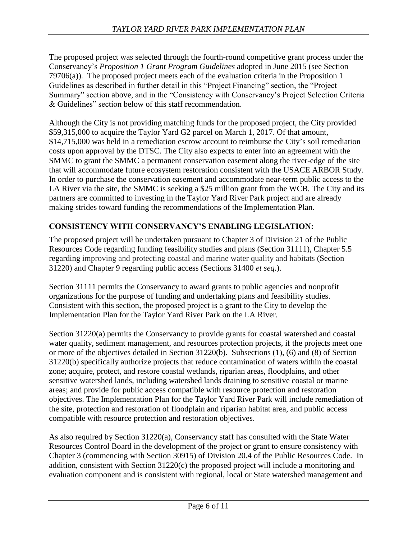The proposed project was selected through the fourth-round competitive grant process under the Conservancy's *Proposition 1 Grant Program Guidelines* adopted in June 2015 (see Section 79706(a)). The proposed project meets each of the evaluation criteria in the Proposition 1 Guidelines as described in further detail in this "Project Financing" section, the "Project Summary" section above, and in the "Consistency with Conservancy's Project Selection Criteria & Guidelines" section below of this staff recommendation.

Although the City is not providing matching funds for the proposed project, the City provided \$59,315,000 to acquire the Taylor Yard G2 parcel on March 1, 2017. Of that amount, \$14,715,000 was held in a remediation escrow account to reimburse the City's soil remediation costs upon approval by the DTSC. The City also expects to enter into an agreement with the SMMC to grant the SMMC a permanent conservation easement along the river-edge of the site that will accommodate future ecosystem restoration consistent with the USACE ARBOR Study. In order to purchase the conservation easement and accommodate near-term public access to the LA River via the site, the SMMC is seeking a \$25 million grant from the WCB. The City and its partners are committed to investing in the Taylor Yard River Park project and are already making strides toward funding the recommendations of the Implementation Plan.

# **CONSISTENCY WITH CONSERVANCY'S ENABLING LEGISLATION:**

The proposed project will be undertaken pursuant to Chapter 3 of Division 21 of the Public Resources Code regarding funding feasibility studies and plans (Section 31111), Chapter 5.5 regarding improving and protecting coastal and marine water quality and habitats (Section 31220) and Chapter 9 regarding public access (Sections 31400 *et seq.*).

Section 31111 permits the Conservancy to award grants to public agencies and nonprofit organizations for the purpose of funding and undertaking plans and feasibility studies. Consistent with this section, the proposed project is a grant to the City to develop the Implementation Plan for the Taylor Yard River Park on the LA River.

Section 31220(a) permits the Conservancy to provide grants for coastal watershed and coastal water quality, sediment management, and resources protection projects, if the projects meet one or more of the objectives detailed in Section 31220(b). Subsections (1), (6) and (8) of Section 31220(b) specifically authorize projects that reduce contamination of waters within the coastal zone; acquire, protect, and restore coastal wetlands, riparian areas, floodplains, and other sensitive watershed lands, including watershed lands draining to sensitive coastal or marine areas; and provide for public access compatible with resource protection and restoration objectives. The Implementation Plan for the Taylor Yard River Park will include remediation of the site, protection and restoration of floodplain and riparian habitat area, and public access compatible with resource protection and restoration objectives.

As also required by Section 31220(a), Conservancy staff has consulted with the State Water Resources Control Board in the development of the project or grant to ensure consistency with Chapter 3 (commencing with Section 30915) of Division 20.4 of the Public Resources Code. In addition, consistent with Section 31220(c) the proposed project will include a monitoring and evaluation component and is consistent with regional, local or State watershed management and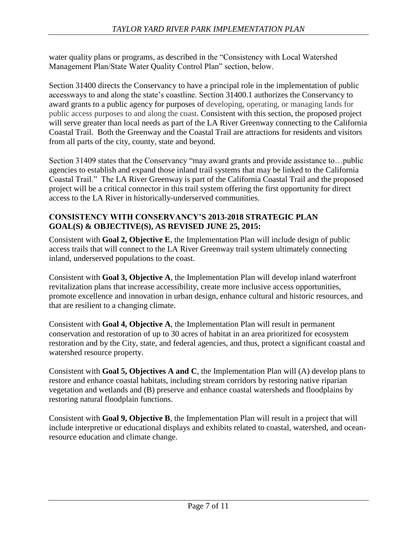water quality plans or programs, as described in the "Consistency with Local Watershed Management Plan/State Water Quality Control Plan" section, below.

Section 31400 directs the Conservancy to have a principal role in the implementation of public accessways to and along the state's coastline. Section 31400.1 authorizes the Conservancy to award grants to a public agency for purposes of developing, operating, or managing lands for public access purposes to and along the coast. Consistent with this section, the proposed project will serve greater than local needs as part of the LA River Greenway connecting to the California Coastal Trail. Both the Greenway and the Coastal Trail are attractions for residents and visitors from all parts of the city, county, state and beyond.

Section 31409 states that the Conservancy "may award grants and provide assistance to…public agencies to establish and expand those inland trail systems that may be linked to the California Coastal Trail." The LA River Greenway is part of the California Coastal Trail and the proposed project will be a critical connector in this trail system offering the first opportunity for direct access to the LA River in historically-underserved communities.

# **CONSISTENCY WITH CONSERVANCY'S 2013-2018 STRATEGIC PLAN GOAL(S) & OBJECTIVE(S), AS REVISED JUNE 25, 2015:**

Consistent with **Goal 2, Objective E**, the Implementation Plan will include design of public access trails that will connect to the LA River Greenway trail system ultimately connecting inland, underserved populations to the coast.

Consistent with **Goal 3, Objective A**, the Implementation Plan will develop inland waterfront revitalization plans that increase accessibility, create more inclusive access opportunities, promote excellence and innovation in urban design, enhance cultural and historic resources, and that are resilient to a changing climate.

Consistent with **Goal 4, Objective A**, the Implementation Plan will result in permanent conservation and restoration of up to 30 acres of habitat in an area prioritized for ecosystem restoration and by the City, state, and federal agencies, and thus, protect a significant coastal and watershed resource property.

Consistent with **Goal 5, Objectives A and C**, the Implementation Plan will (A) develop plans to restore and enhance coastal habitats, including stream corridors by restoring native riparian vegetation and wetlands and (B) preserve and enhance coastal watersheds and floodplains by restoring natural floodplain functions.

Consistent with **Goal 9, Objective B**, the Implementation Plan will result in a project that will include interpretive or educational displays and exhibits related to coastal, watershed, and oceanresource education and climate change.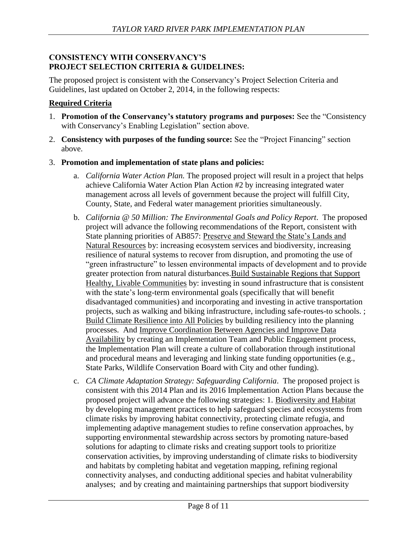## **CONSISTENCY WITH CONSERVANCY'S PROJECT SELECTION CRITERIA & GUIDELINES:**

The proposed project is consistent with the Conservancy's Project Selection Criteria and Guidelines, last updated on October 2, 2014, in the following respects:

# **Required Criteria**

- 1. **Promotion of the Conservancy's statutory programs and purposes:** See the "Consistency with Conservancy's Enabling Legislation" section above.
- 2. **Consistency with purposes of the funding source:** See the "Project Financing" section above.
- 3. **Promotion and implementation of state plans and policies:** 
	- a. *California Water Action Plan.* The proposed project will result in a project that helps achieve California Water Action Plan Action #2 by increasing integrated water management across all levels of government because the project will fulfill City, County, State, and Federal water management priorities simultaneously.
	- b. *California @ 50 Million: The Environmental Goals and Policy Report*. The proposed project will advance the following recommendations of the Report, consistent with State planning priorities of AB857: Preserve and Steward the State's Lands and Natural Resources by: increasing ecosystem services and biodiversity, increasing resilience of natural systems to recover from disruption, and promoting the use of "green infrastructure" to lessen environmental impacts of development and to provide greater protection from natural disturbances.Build Sustainable Regions that Support Healthy, Livable Communities by: investing in sound infrastructure that is consistent with the state's long-term environmental goals (specifically that will benefit disadvantaged communities) and incorporating and investing in active transportation projects, such as walking and biking infrastructure, including safe-routes-to schools. ; Build Climate Resilience into All Policies by building resiliency into the planning processes. And Improve Coordination Between Agencies and Improve Data Availability by creating an Implementation Team and Public Engagement process, the Implementation Plan will create a culture of collaboration through institutional and procedural means and leveraging and linking state funding opportunities (e.g., State Parks, Wildlife Conservation Board with City and other funding).
	- c. *CA Climate Adaptation Strategy: Safeguarding California*. The proposed project is consistent with this 2014 Plan and its 2016 Implementation Action Plans because the proposed project will advance the following strategies: 1. Biodiversity and Habitat by developing management practices to help safeguard species and ecosystems from climate risks by improving habitat connectivity, protecting climate refugia, and implementing adaptive management studies to refine conservation approaches, by supporting environmental stewardship across sectors by promoting nature-based solutions for adapting to climate risks and creating support tools to prioritize conservation activities, by improving understanding of climate risks to biodiversity and habitats by completing habitat and vegetation mapping, refining regional connectivity analyses, and conducting additional species and habitat vulnerability analyses; and by creating and maintaining partnerships that support biodiversity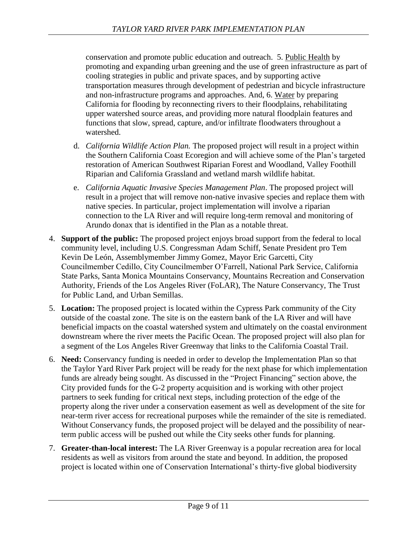conservation and promote public education and outreach. 5. Public Health by promoting and expanding urban greening and the use of green infrastructure as part of cooling strategies in public and private spaces, and by supporting active transportation measures through development of pedestrian and bicycle infrastructure and non-infrastructure programs and approaches. And, 6. Water by preparing California for flooding by reconnecting rivers to their floodplains, rehabilitating upper watershed source areas, and providing more natural floodplain features and functions that slow, spread, capture, and/or infiltrate floodwaters throughout a watershed.

- d. *California Wildlife Action Plan.* The proposed project will result in a project within the Southern California Coast Ecoregion and will achieve some of the Plan's targeted restoration of American Southwest Riparian Forest and Woodland, Valley Foothill Riparian and California Grassland and wetland marsh wildlife habitat.
- e. *California Aquatic Invasive Species Management Plan*. The proposed project will result in a project that will remove non-native invasive species and replace them with native species. In particular, project implementation will involve a riparian connection to the LA River and will require long-term removal and monitoring of Arundo donax that is identified in the Plan as a notable threat.
- 4. **Support of the public:** The proposed project enjoys broad support from the federal to local community level, including U.S. Congressman Adam Schiff, Senate President pro Tem Kevin De León, Assemblymember Jimmy Gomez, Mayor Eric Garcetti, City Councilmember Cedillo, City Councilmember O'Farrell, National Park Service, California State Parks, Santa Monica Mountains Conservancy, Mountains Recreation and Conservation Authority, Friends of the Los Angeles River (FoLAR), The Nature Conservancy, The Trust for Public Land, and Urban Semillas.
- 5. **Location:** The proposed project is located within the Cypress Park community of the City outside of the coastal zone. The site is on the eastern bank of the LA River and will have beneficial impacts on the coastal watershed system and ultimately on the coastal environment downstream where the river meets the Pacific Ocean. The proposed project will also plan for a segment of the Los Angeles River Greenway that links to the California Coastal Trail.
- 6. **Need:** Conservancy funding is needed in order to develop the Implementation Plan so that the Taylor Yard River Park project will be ready for the next phase for which implementation funds are already being sought. As discussed in the "Project Financing" section above, the City provided funds for the G-2 property acquisition and is working with other project partners to seek funding for critical next steps, including protection of the edge of the property along the river under a conservation easement as well as development of the site for near-term river access for recreational purposes while the remainder of the site is remediated. Without Conservancy funds, the proposed project will be delayed and the possibility of nearterm public access will be pushed out while the City seeks other funds for planning.
- 7. **Greater-than-local interest:** The LA River Greenway is a popular recreation area for local residents as well as visitors from around the state and beyond. In addition, the proposed project is located within one of Conservation International's thirty-five global biodiversity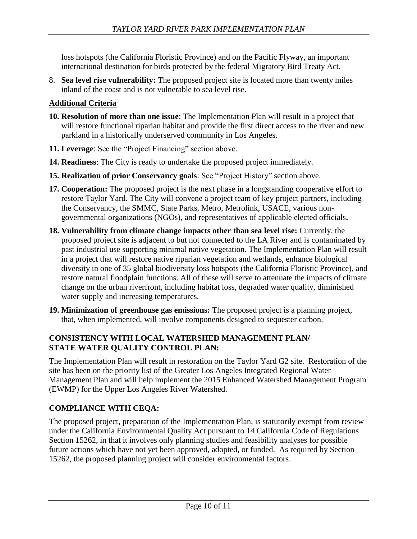loss hotspots (the California Floristic Province) and on the Pacific Flyway, an important international destination for birds protected by the federal Migratory Bird Treaty Act.

8. **Sea level rise vulnerability:** The proposed project site is located more than twenty miles inland of the coast and is not vulnerable to sea level rise.

# **Additional Criteria**

- **10. Resolution of more than one issue**: The Implementation Plan will result in a project that will restore functional riparian habitat and provide the first direct access to the river and new parkland in a historically underserved community in Los Angeles.
- **11. Leverage**: See the "Project Financing" section above.
- **14. Readiness**: The City is ready to undertake the proposed project immediately.
- **15. Realization of prior Conservancy goals**: See "Project History" section above.
- **17. Cooperation:** The proposed project is the next phase in a longstanding cooperative effort to restore Taylor Yard. The City will convene a project team of key project partners, including the Conservancy, the SMMC, State Parks, Metro, Metrolink, USACE, various nongovernmental organizations (NGOs), and representatives of applicable elected officials**.**
- **18. Vulnerability from climate change impacts other than sea level rise:** Currently, the proposed project site is adjacent to but not connected to the LA River and is contaminated by past industrial use supporting minimal native vegetation. The Implementation Plan will result in a project that will restore native riparian vegetation and wetlands, enhance biological diversity in one of 35 global biodiversity loss hotspots (the California Floristic Province), and restore natural floodplain functions. All of these will serve to attenuate the impacts of climate change on the urban riverfront, including habitat loss, degraded water quality, diminished water supply and increasing temperatures.
- **19. Minimization of greenhouse gas emissions:** The proposed project is a planning project, that, when implemented, will involve components designed to sequester carbon.

# **CONSISTENCY WITH LOCAL WATERSHED MANAGEMENT PLAN/ STATE WATER QUALITY CONTROL PLAN:**

The Implementation Plan will result in restoration on the Taylor Yard G2 site. Restoration of the site has been on the priority list of the Greater Los Angeles Integrated Regional Water Management Plan and will help implement the 2015 Enhanced Watershed Management Program (EWMP) for the Upper Los Angeles River Watershed.

# **COMPLIANCE WITH CEQA:**

The proposed project, preparation of the Implementation Plan, is statutorily exempt from review under the California Environmental Quality Act pursuant to 14 California Code of Regulations Section 15262, in that it involves only planning studies and feasibility analyses for possible future actions which have not yet been approved, adopted, or funded. As required by Section 15262, the proposed planning project will consider environmental factors.